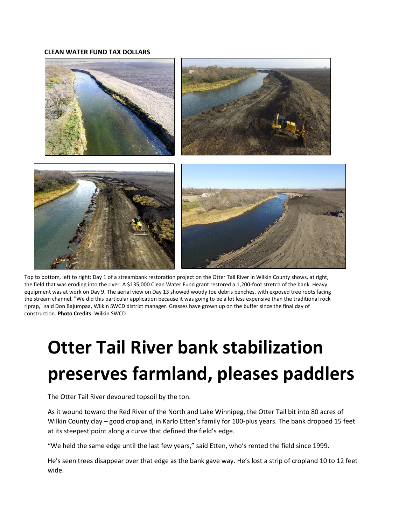## **CLEAN WATER FUND TAX DOLLARS**



Top to bottom, left to right: Day 1 of a streambank restoration project on the Otter Tail River in Wilkin County shows, at right, the field that was eroding into the river. A \$135,000 Clean Water Fund grant restored a 1,200-foot stretch of the bank. Heavy equipment was at work on Day 9. The aerial view on Day 13 showed woody toe debris benches, with exposed tree roots facing the stream channel. "We did this particular application because it was going to be a lot less expensive than the traditional rock riprap," said Don Bajumpaa, Wilkin SWCD district manager. Grasses have grown up on the buffer since the final day of construction. **Photo Credits:** Wilkin SWCD

## **Otter Tail River bank stabilization preserves farmland, pleases paddlers**

The Otter Tail River devoured topsoil by the ton.

As it wound toward the Red River of the North and Lake Winnipeg, the Otter Tail bit into 80 acres of Wilkin County clay – good cropland, in Karlo Etten's family for 100-plus years. The bank dropped 15 feet at its steepest point along a curve that defined the field's edge.

"We held the same edge until the last few years," said Etten, who's rented the field since 1999.

He's seen trees disappear over that edge as the bank gave way. He's lost a strip of cropland 10 to 12 feet wide.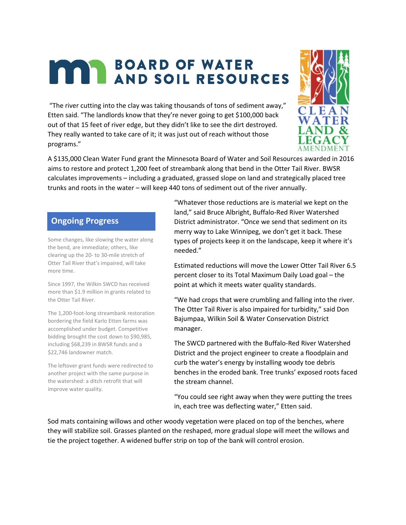## **MAY BOARD OF WATER**

"The river cutting into the clay was taking thousands of tons of sediment away," Etten said. "The landlords know that they're never going to get \$100,000 back out of that 15 feet of river edge, but they didn't like to see the dirt destroyed. They really wanted to take care of it; it was just out of reach without those programs."



A \$135,000 Clean Water Fund grant the Minnesota Board of Water and Soil Resources awarded in 2016 aims to restore and protect 1,200 feet of streambank along that bend in the Otter Tail River. BWSR calculates improvements – including a graduated, grassed slope on land and strategically placed tree trunks and roots in the water – will keep 440 tons of sediment out of the river annually.

## **Ongoing Progress**

Some changes, like slowing the water along the bend, are immediate; others, like clearing up the 20- to 30-mile stretch of Otter Tail River that's impaired, will take more time.

Since 1997, the Wilkin SWCD has received more than \$1.9 million in grants related to the Otter Tail River.

The 1,200-foot-long streambank restoration bordering the field Karlo Etten farms was accomplished under budget. Competitive bidding brought the cost down to \$90,985, including \$68,239 in BWSR funds and a \$22,746 landowner match.

The leftover grant funds were redirected to another project with the same purpose in the watershed: a ditch retrofit that will improve water quality.

"Whatever those reductions are is material we kept on the land," said Bruce Albright, Buffalo-Red River Watershed District administrator. "Once we send that sediment on its merry way to Lake Winnipeg, we don't get it back. These types of projects keep it on the landscape, keep it where it's needed."

Estimated reductions will move the Lower Otter Tail River 6.5 percent closer to its Total Maximum Daily Load goal – the point at which it meets water quality standards.

"We had crops that were crumbling and falling into the river. The Otter Tail River is also impaired for turbidity," said Don Bajumpaa, Wilkin Soil & Water Conservation District manager.

The SWCD partnered with the Buffalo-Red River Watershed District and the project engineer to create a floodplain and curb the water's energy by installing woody toe debris benches in the eroded bank. Tree trunks' exposed roots faced the stream channel.

"You could see right away when they were putting the trees in, each tree was deflecting water," Etten said.

Sod mats containing willows and other woody vegetation were placed on top of the benches, where they will stabilize soil. Grasses planted on the reshaped, more gradual slope will meet the willows and tie the project together. A widened buffer strip on top of the bank will control erosion.